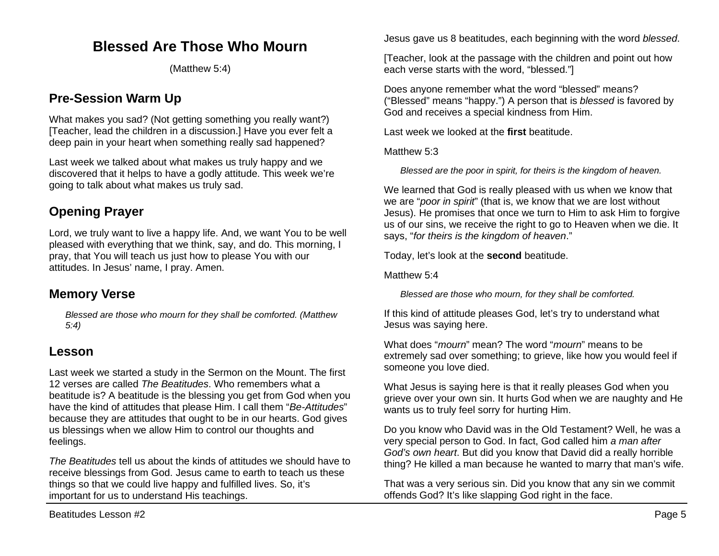# **Blessed Are Those Who Mourn**

(Matthew 5:4)

## **Pre-Session Warm Up**

What makes you sad? (Not getting something you really want?) [Teacher, lead the children in a discussion.] Have you ever felt a deep pain in your heart when something really sad happened?

Last week we talked about what makes us truly happy and we discovered that it helps to have a godly attitude. This week we're going to talk about what makes us truly sad.

# **Opening Prayer**

Lord, we truly want to live a happy life. And, we want You to be well pleased with everything that we think, say, and do. This morning, I pray, that You will teach us just how to please You with our attitudes. In Jesus' name, I pray. Amen.

## **Memory Verse**

*Blessed are those who mourn for they shall be comforted. (Matthew 5:4)*

## **Lesson**

Last week we started a study in the Sermon on the Mount. The first 12 verses are called *The Beatitudes*. Who remembers what a beatitude is? A beatitude is the blessing you get from God when you have the kind of attitudes that please Him. I call them "*Be-Attitudes*" because they are attitudes that ought to be in our hearts. God gives us blessings when we allow Him to control our thoughts and feelings.

*The Beatitudes* tell us about the kinds of attitudes we should have to receive blessings from God. Jesus came to earth to teach us these things so that we could live happy and fulfilled lives. So, it's important for us to understand His teachings.

Jesus gave us 8 beatitudes, each beginning with the word *blessed*.

[Teacher, look at the passage with the children and point out how each verse starts with the word, "blessed."]

Does anyone remember what the word "blessed" means? ("Blessed" means "happy.") A person that is *blessed* is favored by God and receives a special kindness from Him.

Last week we looked at the **first** beatitude.

Matthew 5:3

*Blessed are the poor in spirit, for theirs is the kingdom of heaven.*

We learned that God is really pleased with us when we know that we are "*poor in spirit*" (that is, we know that we are lost without Jesus). He promises that once we turn to Him to ask Him to forgive us of our sins, we receive the right to go to Heaven when we die. It says, "*for theirs is the kingdom of heaven*."

Today, let's look at the **second** beatitude.

Matthew 5:4

*Blessed are those who mourn, for they shall be comforted.*

If this kind of attitude pleases God, let's try to understand what Jesus was saying here.

What does "*mourn*" mean? The word "*mourn*" means to be extremely sad over something; to grieve, like how you would feel if someone you love died.

What Jesus is saying here is that it really pleases God when you grieve over your own sin. It hurts God when we are naughty and He wants us to truly feel sorry for hurting Him.

Do you know who David was in the Old Testament? Well, he was a very special person to God. In fact, God called him *a man after God's own heart*. But did you know that David did a really horrible thing? He killed a man because he wanted to marry that man's wife.

That was a very serious sin. Did you know that any sin we commit offends God? It's like slapping God right in the face.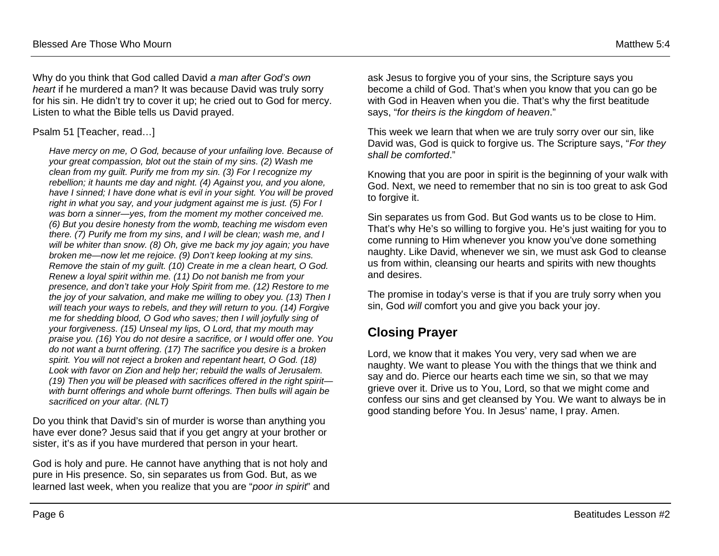Why do you think that God called David *a man after God's own heart* if he murdered a man? It was because David was truly sorry for his sin. He didn't try to cover it up; he cried out to God for mercy. Listen to what the Bible tells us David prayed.

#### Psalm 51 [Teacher, read…]

*Have mercy on me, O God, because of your unfailing love. Because of your great compassion, blot out the stain of my sins. (2) Wash me clean from my guilt. Purify me from my sin. (3) For I recognize my rebellion; it haunts me day and night. (4) Against you, and you alone, have I sinned; I have done what is evil in your sight. You will be proved right in what you say, and your judgment against me is just. (5) For I was born a sinner—yes, from the moment my mother conceived me. (6) But you desire honesty from the womb, teaching me wisdom even there. (7) Purify me from my sins, and I will be clean; wash me, and I will be whiter than snow. (8) Oh, give me back my joy again; you have broken me—now let me rejoice. (9) Don't keep looking at my sins. Remove the stain of my guilt. (10) Create in me a clean heart, O God. Renew a loyal spirit within me. (11) Do not banish me from your presence, and don't take your Holy Spirit from me. (12) Restore to me the joy of your salvation, and make me willing to obey you. (13) Then I will teach your ways to rebels, and they will return to you. (14) Forgive me for shedding blood, O God who saves; then I will joyfully sing of your forgiveness. (15) Unseal my lips, O Lord, that my mouth may praise you. (16) You do not desire a sacrifice, or I would offer one. You do not want a burnt offering. (17) The sacrifice you desire is a broken spirit. You will not reject a broken and repentant heart, O God. (18) Look with favor on Zion and help her; rebuild the walls of Jerusalem. (19) Then you will be pleased with sacrifices offered in the right spirit with burnt offerings and whole burnt offerings. Then bulls will again be sacrificed on your altar. (NLT)*

Do you think that David's sin of murder is worse than anything you have ever done? Jesus said that if you get angry at your brother or sister, it's as if you have murdered that person in your heart.

God is holy and pure. He cannot have anything that is not holy and pure in His presence. So, sin separates us from God. But, as we learned last week, when you realize that you are "*poor in spirit*" and

ask Jesus to forgive you of your sins, the Scripture says you become a child of God. That's when you know that you can go be with God in Heaven when you die. That's why the first beatitude says, "*for theirs is the kingdom of heaven*."

This week we learn that when we are truly sorry over our sin, like David was, God is quick to forgive us. The Scripture says, "*For they shall be comforted*."

Knowing that you are poor in spirit is the beginning of your walk with God. Next, we need to remember that no sin is too great to ask God to forgive it.

Sin separates us from God. But God wants us to be close to Him. That's why He's so willing to forgive you. He's just waiting for you to come running to Him whenever you know you've done something naughty. Like David, whenever we sin, we must ask God to cleanse us from within, cleansing our hearts and spirits with new thoughts and desires.

The promise in today's verse is that if you are truly sorry when you sin, God *will* comfort you and give you back your joy.

## **Closing Prayer**

Lord, we know that it makes You very, very sad when we are naughty. We want to please You with the things that we think and say and do. Pierce our hearts each time we sin, so that we may grieve over it. Drive us to You, Lord, so that we might come and confess our sins and get cleansed by You. We want to always be in good standing before You. In Jesus' name, I pray. Amen.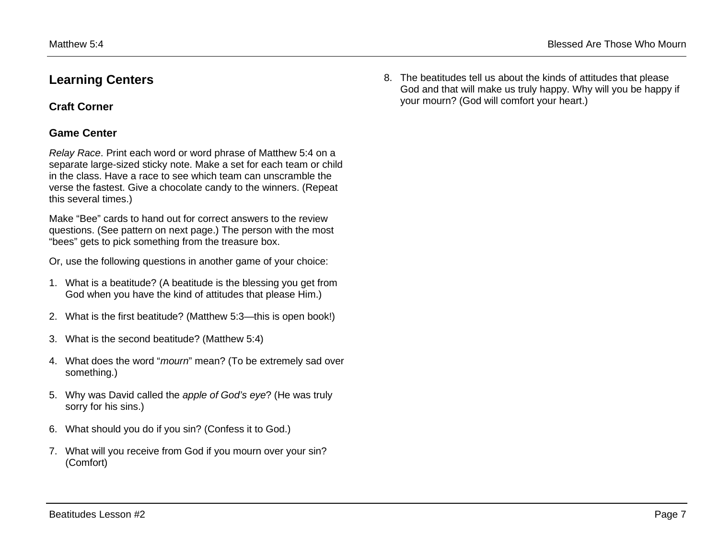## **Learning Centers**

### **Craft Corner**

### **Game Center**

*Relay Race*. Print each word or word phrase of Matthew 5:4 on a separate large-sized sticky note. Make a set for each team or child in the class. Have a race to see which team can unscramble the verse the fastest. Give a chocolate candy to the winners. (Repeat this several times.)

Make "Bee" cards to hand out for correct answers to the review questions. (See pattern on next page.) The person with the most "bees" gets to pick something from the treasure box.

Or, use the following questions in another game of your choice:

- 1. What is a beatitude? (A beatitude is the blessing you get from God when you have the kind of attitudes that please Him.)
- 2. What is the first beatitude? (Matthew 5:3—this is open book!)
- 3. What is the second beatitude? (Matthew 5:4)
- 4. What does the word "*mourn*" mean? (To be extremely sad over something.)
- 5. Why was David called the *apple of God's eye*? (He was truly sorry for his sins.)
- 6. What should you do if you sin? (Confess it to God.)
- 7. What will you receive from God if you mourn over your sin? (Comfort)

8. The beatitudes tell us about the kinds of attitudes that please God and that will make us truly happy. Why will you be happy if your mourn? (God will comfort your heart.)